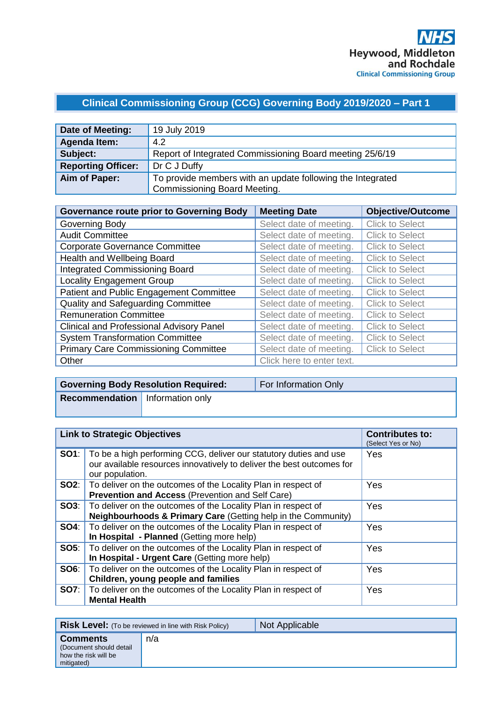## **Clinical Commissioning Group (CCG) Governing Body 2019/2020 – Part 1**

| Date of Meeting:          | 19 July 2019                                               |
|---------------------------|------------------------------------------------------------|
| <b>Agenda Item:</b>       | 4.2                                                        |
| Subject:                  | Report of Integrated Commissioning Board meeting 25/6/19   |
| <b>Reporting Officer:</b> | Dr C J Duffy                                               |
| Aim of Paper:             | To provide members with an update following the Integrated |
|                           | <b>Commissioning Board Meeting.</b>                        |

| <b>Governance route prior to Governing Body</b> | <b>Meeting Date</b>       | <b>Objective/Outcome</b> |
|-------------------------------------------------|---------------------------|--------------------------|
| Governing Body                                  | Select date of meeting.   | <b>Click to Select</b>   |
| <b>Audit Committee</b>                          | Select date of meeting.   | <b>Click to Select</b>   |
| <b>Corporate Governance Committee</b>           | Select date of meeting.   | <b>Click to Select</b>   |
| Health and Wellbeing Board                      | Select date of meeting.   | <b>Click to Select</b>   |
| <b>Integrated Commissioning Board</b>           | Select date of meeting.   | <b>Click to Select</b>   |
| <b>Locality Engagement Group</b>                | Select date of meeting.   | <b>Click to Select</b>   |
| Patient and Public Engagement Committee         | Select date of meeting.   | <b>Click to Select</b>   |
| Quality and Safeguarding Committee              | Select date of meeting.   | <b>Click to Select</b>   |
| <b>Remuneration Committee</b>                   | Select date of meeting.   | <b>Click to Select</b>   |
| <b>Clinical and Professional Advisory Panel</b> | Select date of meeting.   | <b>Click to Select</b>   |
| <b>System Transformation Committee</b>          | Select date of meeting.   | <b>Click to Select</b>   |
| <b>Primary Care Commissioning Committee</b>     | Select date of meeting.   | <b>Click to Select</b>   |
| Other                                           | Click here to enter text. |                          |

|                                        | <b>Governing Body Resolution Required:</b> | For Information Only |
|----------------------------------------|--------------------------------------------|----------------------|
| <b>Recommendation</b> Information only |                                            |                      |
|                                        |                                            |                      |

| <b>Link to Strategic Objectives</b> |                                                                                                                                                                            | <b>Contributes to:</b><br>(Select Yes or No) |
|-------------------------------------|----------------------------------------------------------------------------------------------------------------------------------------------------------------------------|----------------------------------------------|
|                                     | <b>SO1</b> : To be a high performing CCG, deliver our statutory duties and use<br>our available resources innovatively to deliver the best outcomes for<br>our population. | <b>Yes</b>                                   |
|                                     | <b>SO2:</b>   To deliver on the outcomes of the Locality Plan in respect of<br>Prevention and Access (Prevention and Self Care)                                            | Yes                                          |
|                                     | <b>SO3:</b>   To deliver on the outcomes of the Locality Plan in respect of<br><b>Neighbourhoods &amp; Primary Care (Getting help in the Community)</b>                    | <b>Yes</b>                                   |
|                                     | <b>SO4:</b> To deliver on the outcomes of the Locality Plan in respect of<br>In Hospital - Planned (Getting more help)                                                     | Yes                                          |
|                                     | SO5:   To deliver on the outcomes of the Locality Plan in respect of<br>In Hospital - Urgent Care (Getting more help)                                                      | Yes                                          |
|                                     | <b>SO6:</b>   To deliver on the outcomes of the Locality Plan in respect of<br>Children, young people and families                                                         | Yes                                          |
|                                     | <b>SO7:</b> To deliver on the outcomes of the Locality Plan in respect of<br><b>Mental Health</b>                                                                          | Yes                                          |

|                                                                                  | <b>Risk Level:</b> (To be reviewed in line with Risk Policy) | Not Applicable |
|----------------------------------------------------------------------------------|--------------------------------------------------------------|----------------|
| <b>Comments</b><br>(Document should detail<br>how the risk will be<br>mitigated) | n/a                                                          |                |